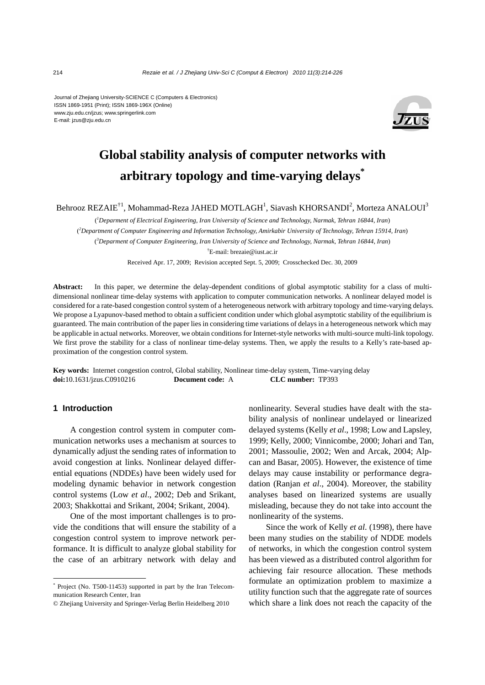Journal of Zhejiang University-SCIENCE C (Computers & Electronics) ISSN 1869-1951 (Print); ISSN 1869-196X (Online) www.zju.edu.cn/jzus; www.springerlink.com E-mail: jzus@zju.edu.cn



# **Global stability analysis of computer networks with arbitrary topology and time-varying delays\***

Behrooz REZAIE $^{\dagger1}$ , Mohammad-Reza JAHED MOTLAGH $^{\dagger}$ , Siavash KHORSANDI $^{\dagger}$ , Morteza ANALOUI $^{\dagger}$ 

( *1 Deparment of Electrical Engineering, Iran University of Science and Technology, Narmak, Tehran 16844, Iran*)

( *2 Department of Computer Engineering and Information Technology, Amirkabir University of Technology, Tehran 15914, Iran*)

( *3 Deparment of Computer Engineering, Iran University of Science and Technology, Narmak, Tehran 16844, Iran*)

† E-mail: brezaie@iust.ac.ir

Received Apr. 17, 2009; Revision accepted Sept. 5, 2009; Crosschecked Dec. 30, 2009

**Abstract:** In this paper, we determine the delay-dependent conditions of global asymptotic stability for a class of multidimensional nonlinear time-delay systems with application to computer communication networks. A nonlinear delayed model is considered for a rate-based congestion control system of a heterogeneous network with arbitrary topology and time-varying delays. We propose a Lyapunov-based method to obtain a sufficient condition under which global asymptotic stability of the equilibrium is guaranteed. The main contribution of the paper lies in considering time variations of delays in a heterogeneous network which may be applicable in actual networks. Moreover, we obtain conditions for Internet-style networks with multi-source multi-link topology. We first prove the stability for a class of nonlinear time-delay systems. Then, we apply the results to a Kelly's rate-based approximation of the congestion control system.

**Key words:** Internet congestion control, Global stability, Nonlinear time-delay system, Time-varying delay **doi:**10.1631/jzus.C0910216 **Document code:** A **CLC number:** TP393

# **1 Introduction**

A congestion control system in computer communication networks uses a mechanism at sources to dynamically adjust the sending rates of information to avoid congestion at links. Nonlinear delayed differential equations (NDDEs) have been widely used for modeling dynamic behavior in network congestion control systems (Low *et al*., 2002; Deb and Srikant, 2003; Shakkottai and Srikant, 2004; Srikant, 2004).

One of the most important challenges is to provide the conditions that will ensure the stability of a congestion control system to improve network performance. It is difficult to analyze global stability for the case of an arbitrary network with delay and

nonlinearity. Several studies have dealt with the stability analysis of nonlinear undelayed or linearized delayed systems (Kelly *et al*., 1998; Low and Lapsley, 1999; Kelly, 2000; Vinnicombe, 2000; Johari and Tan, 2001; Massoulie, 2002; Wen and Arcak, 2004; Alpcan and Basar, 2005). However, the existence of time delays may cause instability or performance degradation (Ranjan *et al*., 2004). Moreover, the stability analyses based on linearized systems are usually misleading, because they do not take into account the nonlinearity of the systems.

Since the work of Kelly *et al*. (1998), there have been many studies on the stability of NDDE models of networks, in which the congestion control system has been viewed as a distributed control algorithm for achieving fair resource allocation. These methods formulate an optimization problem to maximize a utility function such that the aggregate rate of sources which share a link does not reach the capacity of the

<sup>\*</sup> Project (No. T500-11453) supported in part by the Iran Telecommunication Research Center, Iran

<sup>©</sup> Zhejiang University and Springer-Verlag Berlin Heidelberg 2010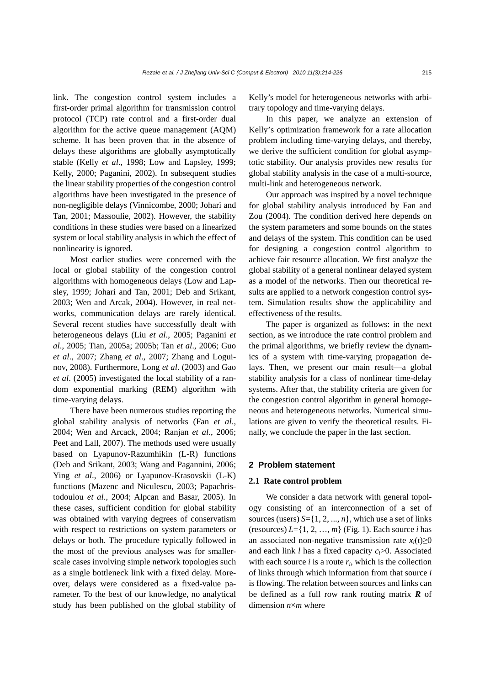link. The congestion control system includes a first-order primal algorithm for transmission control protocol (TCP) rate control and a first-order dual algorithm for the active queue management (AQM) scheme. It has been proven that in the absence of delays these algorithms are globally asymptotically stable (Kelly *et al*., 1998; Low and Lapsley, 1999; Kelly, 2000; Paganini, 2002). In subsequent studies the linear stability properties of the congestion control algorithms have been investigated in the presence of non-negligible delays (Vinnicombe, 2000; Johari and Tan, 2001; Massoulie, 2002). However, the stability conditions in these studies were based on a linearized system or local stability analysis in which the effect of nonlinearity is ignored.

Most earlier studies were concerned with the local or global stability of the congestion control algorithms with homogeneous delays (Low and Lapsley, 1999; Johari and Tan, 2001; Deb and Srikant, 2003; Wen and Arcak, 2004). However, in real networks, communication delays are rarely identical. Several recent studies have successfully dealt with heterogeneous delays (Liu *et al*., 2005; Paganini *et al*., 2005; Tian, 2005a; 2005b; Tan *et al*., 2006; Guo *et al*., 2007; Zhang *et al*., 2007; Zhang and Loguinov, 2008). Furthermore, Long *et al*. (2003) and Gao *et al*. (2005) investigated the local stability of a random exponential marking (REM) algorithm with time-varying delays.

There have been numerous studies reporting the global stability analysis of networks (Fan *et al*., 2004; Wen and Arcack, 2004; Ranjan *et al*., 2006; Peet and Lall, 2007). The methods used were usually based on Lyapunov-Razumhikin (L-R) functions (Deb and Srikant, 2003; Wang and Pagannini, 2006; Ying *et al*., 2006) or Lyapunov-Krasovskii (L-K) functions (Mazenc and Niculescu, 2003; Papachristodoulou *et al*., 2004; Alpcan and Basar, 2005). In these cases, sufficient condition for global stability was obtained with varying degrees of conservatism with respect to restrictions on system parameters or delays or both. The procedure typically followed in the most of the previous analyses was for smallerscale cases involving simple network topologies such as a single bottleneck link with a fixed delay. Moreover, delays were considered as a fixed-value parameter. To the best of our knowledge, no analytical study has been published on the global stability of Kelly's model for heterogeneous networks with arbitrary topology and time-varying delays.

In this paper, we analyze an extension of Kelly's optimization framework for a rate allocation problem including time-varying delays, and thereby, we derive the sufficient condition for global asymptotic stability. Our analysis provides new results for global stability analysis in the case of a multi-source, multi-link and heterogeneous network.

Our approach was inspired by a novel technique for global stability analysis introduced by Fan and Zou (2004). The condition derived here depends on the system parameters and some bounds on the states and delays of the system. This condition can be used for designing a congestion control algorithm to achieve fair resource allocation. We first analyze the global stability of a general nonlinear delayed system as a model of the networks. Then our theoretical results are applied to a network congestion control system. Simulation results show the applicability and effectiveness of the results.

The paper is organized as follows: in the next section, as we introduce the rate control problem and the primal algorithms, we briefly review the dynamics of a system with time-varying propagation delays. Then, we present our main result—a global stability analysis for a class of nonlinear time-delay systems. After that, the stability criteria are given for the congestion control algorithm in general homogeneous and heterogeneous networks. Numerical simulations are given to verify the theoretical results. Finally, we conclude the paper in the last section.

#### **2 Problem statement**

#### **2.1 Rate control problem**

We consider a data network with general topology consisting of an interconnection of a set of sources (users)  $S = \{1, 2, ..., n\}$ , which use a set of links (resources)  $L = \{1, 2, ..., m\}$  (Fig. 1). Each source *i* has an associated non-negative transmission rate  $x_i(t) \ge 0$ and each link *l* has a fixed capacity  $c_l$ >0. Associated with each source  $i$  is a route  $r_i$ , which is the collection of links through which information from that source *i* is flowing. The relation between sources and links can be defined as a full row rank routing matrix *R* of dimension *n*×*m* where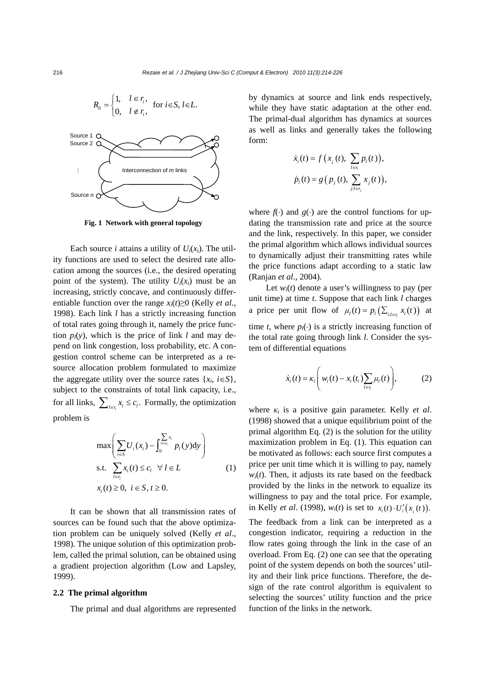

**Fig. 1 Network with general topology** 

Each source *i* attains a utility of  $U_i(x_i)$ . The utility functions are used to select the desired rate allocation among the sources (i.e., the desired operating point of the system). The utility  $U_i(x_i)$  must be an increasing, strictly concave, and continuously differentiable function over the range  $x_i(t) \ge 0$  (Kelly *et al.*, 1998). Each link *l* has a strictly increasing function of total rates going through it, namely the price function  $p_l(y)$ , which is the price of link *l* and may depend on link congestion, loss probability, etc. A congestion control scheme can be interpreted as a resource allocation problem formulated to maximize the aggregate utility over the source rates  $\{x_i, i \in S\}$ , subject to the constraints of total link capacity, i.e., for all links,  $\sum_{i \in r_i} x_i \leq c_i$ . Formally, the optimization problem is

$$
\max \left( \sum_{i \in S} U_i(x_i) - \int_0^{\sum_{d \in \eta} x_i} p_l(y) dy \right)
$$
  
s.t. 
$$
\sum_{l \in r_i} x_i(t) \leq c_l \quad \forall l \in L
$$
  

$$
x_i(t) \geq 0, \ i \in S, t \geq 0.
$$
 (1)

It can be shown that all transmission rates of sources can be found such that the above optimization problem can be uniquely solved (Kelly *et al*., 1998). The unique solution of this optimization problem, called the primal solution, can be obtained using a gradient projection algorithm (Low and Lapsley, 1999).

## **2.2 The primal algorithm**

The primal and dual algorithms are represented

by dynamics at source and link ends respectively, while they have static adaptation at the other end. The primal-dual algorithm has dynamics at sources as well as links and generally takes the following form:

$$
\dot{x}_i(t) = f\left(x_i(t), \sum_{l \in r_i} p_l(t)\right),
$$
  

$$
\dot{p}_l(t) = g\left(p_l(t), \sum_{j:l \in r_j} x_j(t)\right),
$$

where  $f(\cdot)$  and  $g(\cdot)$  are the control functions for updating the transmission rate and price at the source and the link, respectively. In this paper, we consider the primal algorithm which allows individual sources to dynamically adjust their transmitting rates while the price functions adapt according to a static law (Ranjan *et al*., 2004).

Let  $w_i(t)$  denote a user's willingness to pay (per unit time) at time *t*. Suppose that each link *l* charges a price per unit flow of  $\mu_i(t) = p_i \left( \sum_{i:l \in \mathcal{I}} x_i(t) \right)$  at time *t*, where  $p_l(\cdot)$  is a strictly increasing function of the total rate going through link *l*. Consider the system of differential equations

$$
\dot{x}_i(t) = \kappa_i \left( w_i(t) - x_i(t_i) \sum_{l \in r_i} \mu_l(t) \right), \tag{2}
$$

where  $\kappa_i$  is a positive gain parameter. Kelly *et al.* (1998) showed that a unique equilibrium point of the primal algorithm Eq. (2) is the solution for the utility maximization problem in Eq. (1). This equation can be motivated as follows: each source first computes a price per unit time which it is willing to pay, namely  $w_i(t)$ . Then, it adjusts its rate based on the feedback provided by the links in the network to equalize its willingness to pay and the total price. For example, in Kelly *et al.* (1998),  $w_i(t)$  is set to  $x_i(t) \cdot U_i'(x_i(t))$ .

The feedback from a link can be interpreted as a congestion indicator, requiring a reduction in the flow rates going through the link in the case of an overload. From Eq. (2) one can see that the operating point of the system depends on both the sources' utility and their link price functions. Therefore, the design of the rate control algorithm is equivalent to selecting the sources' utility function and the price function of the links in the network.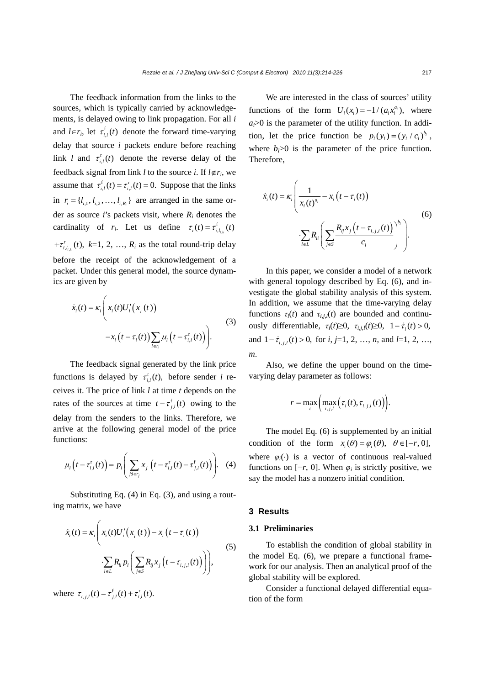The feedback information from the links to the sources, which is typically carried by acknowledgements, is delayed owing to link propagation. For all *i* and  $l \in r_i$ , let  $\tau_{i,l}^f(t)$  denote the forward time-varying delay that source *i* packets endure before reaching link *l* and  $\tau_{i,l}^r(t)$  denote the reverse delay of the feedback signal from link *l* to the source *i*. If  $l \notin r_i$ , we assume that  $\tau_{i,l}^{\mathrm{f}}(t) = \tau_{i,l}^{\mathrm{r}}(t) = 0$ . Suppose that the links in  $r_i = \{l_{i,1}, l_{i,2}, ..., l_{i,R}\}\$  are arranged in the same order as source *i*'s packets visit, where *Ri* denotes the cardinality of  $r_i$ . Let us define  $\tau_i(t) = \tau_{i, l_{i,k}}^f(t)$ ,  $+\tau_{i,l_{i,k}}^{\text{r}}(t)$ ,  $k=1, 2, ..., R_i$  as the total round-trip delay before the receipt of the acknowledgement of a packet. Under this general model, the source dynamics are given by

$$
\dot{x}_i(t) = \kappa_i \left( x_i(t) U_i'(x_i(t)) -x_i(t - \tau_i(t)) \sum_{l \in r_i} \mu_l \left( t - \tau_{i,l}^r(t) \right) \right).
$$
\n(3)

The feedback signal generated by the link price functions is delayed by  $\tau_{i,l}^{\mathrm{r}}(t)$ , before sender *i* receives it. The price of link *l* at time *t* depends on the rates of the sources at time  $t - \tau_{j,l}^f(t)$  owing to the delay from the senders to the links. Therefore, we arrive at the following general model of the price functions:

$$
\mu_t\left(t-\tau_{i,l}^{\mathrm{r}}(t)\right)=p_t\left(\sum_{j,l\in r_j}x_j\left(t-\tau_{i,l}^{\mathrm{r}}(t)-\tau_{j,l}^{\mathrm{f}}(t)\right)\right). \quad (4)
$$

Substituting Eq. (4) in Eq. (3), and using a routing matrix, we have

$$
\dot{x}_i(t) = \kappa_i \left( x_i(t) U_i'(x_i(t)) - x_i(t - \tau_i(t)) \right)
$$
\n
$$
\sum_{l \in L} R_{li} p_l \left( \sum_{j \in S} R_{lj} x_j \left( t - \tau_{i,j,l}(t) \right) \right),
$$
\n(5)

where  $\tau_{i,j,l}(t) = \tau_{j,l}^{\text{f}}(t) + \tau_{i,l}^{\text{r}}(t)$ .

We are interested in the class of sources' utility functions of the form  $U_i(x_i) = -1/(a_i x_i^{a_i})$ , where  $a_i$ >0 is the parameter of the utility function. In addition, let the price function be  $p_l(y_l) = (y_l / c_l)^{b_l}$ , where  $b_0$ >0 is the parameter of the price function. Therefore,

$$
\dot{x}_i(t) = \kappa_i \left( \frac{1}{x_i(t)^{a_i}} - x_i(t - \tau_i(t)) \right)
$$
\n
$$
\sum_{l \in L} R_{li} \left( \sum_{j \in S} \frac{R_{lj} x_j(t - \tau_{i,j,l}(t))}{c_l} \right)^{b_l} \right).
$$
\n(6)

In this paper, we consider a model of a network with general topology described by Eq. (6), and investigate the global stability analysis of this system. In addition, we assume that the time-varying delay functions  $\tau_i(t)$  and  $\tau_{i,j,l}(t)$  are bounded and continuously differentiable,  $\tau_i(t) \geq 0$ ,  $\tau_{i,j,l}(t) \geq 0$ ,  $1 - \dot{\tau}_i(t) > 0$ , and  $1 - \dot{\tau}_{i,j,l}$  (*t*) > 0, for *i*, *j*=1, 2, …, *n*, and *l*=1, 2, …, *m*.

Also, we define the upper bound on the timevarying delay parameter as follows:

$$
r = \max_{t} \left( \max_{i,j,l} \left( \tau_i(t), \tau_{i,j,l}(t) \right) \right).
$$

The model Eq. (6) is supplemented by an initial condition of the form  $x_i(\theta) = \varphi_i(\theta), \quad \theta \in [-r, 0],$ where  $\varphi_i(\cdot)$  is a vector of continuous real-valued functions on  $[-r, 0]$ . When  $\varphi_i$  is strictly positive, we say the model has a nonzero initial condition.

## **3 Results**

## **3.1 Preliminaries**

To establish the condition of global stability in the model Eq. (6), we prepare a functional framework for our analysis. Then an analytical proof of the global stability will be explored.

Consider a functional delayed differential equation of the form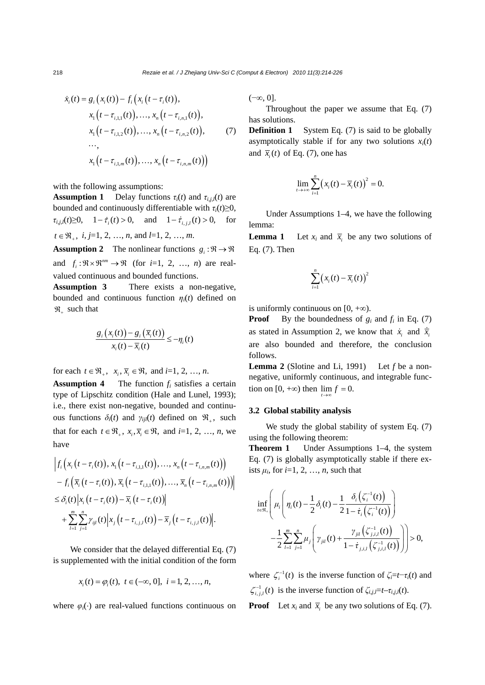$$
\dot{x}_i(t) = g_i(x_i(t)) - f_i(x_i(t) - \tau_i(t)),
$$
\n
$$
x_1(t - \tau_{i,1,1}(t)), \dots, x_n(t - \tau_{i,n,1}(t)),
$$
\n
$$
x_1(t - \tau_{i,1,2}(t)), \dots, x_n(t - \tau_{i,n,2}(t)),
$$
\n
$$
\dots,
$$
\n
$$
x_1(t - \tau_{i,1,m}(t)), \dots, x_n(t - \tau_{i,n,m}(t))
$$
\n(7)

with the following assumptions:

**Assumption 1** Delay functions  $\tau_i(t)$  and  $\tau_{i,j,l}(t)$  are bounded and continuously differentiable with  $\tau_i(t) \geq 0$ ,  $\tau_{i,j,l}(t) \geq 0$ ,  $1 - \dot{\tau}_i(t) > 0$ , and  $1 - \dot{\tau}_{i,j,l}(t) > 0$ , for  $t \in \mathfrak{R}_+$ , *i*, *j*=1, 2, …, *n*, and *l*=1, 2, …, *m*.

**Assumption 2** The nonlinear functions  $g_i : \mathbb{R} \to \mathbb{R}$ and  $f_i: \Re \times \Re^{nm} \to \Re$  (for *i*=1, 2, ..., *n*) are realvalued continuous and bounded functions.

**Assumption 3** There exists a non-negative, bounded and continuous function  $\eta_i(t)$  defined on  $\mathfrak{R}_+$  such that

$$
\frac{g_i\left(x_i(t)\right) - g_i\left(\overline{x}_i(t)\right)}{x_i(t) - \overline{x}_i(t)} \leq -\eta_i(t)
$$

for each  $t \in \mathfrak{R}_+$ ,  $x_i, \overline{x_i} \in \mathfrak{R}$ , and  $i=1, 2, ..., n$ .

**Assumption 4** The function *fi* satisfies a certain type of Lipschitz condition (Hale and Lunel, 1993); i.e., there exist non-negative, bounded and continuous functions  $\delta_i(t)$  and  $\gamma_{ij}(t)$  defined on  $\Re^+$ , such that for each  $t \in \mathcal{R}_+$ ,  $x_i, \overline{x_i} \in \mathcal{R}$ , and *i*=1, 2, …, *n*, we have

$$
\left| f_i\left(x_i\left(t-\tau_i(t)\right), x_1\left(t-\tau_{i,1,1}(t)\right), \ldots, x_n\left(t-\tau_{i,n,m}(t)\right) \right) \right|
$$
  
\n
$$
\left| -f_i\left(\overline{x}_i\left(t-\tau_i(t)\right), \overline{x}_1\left(t-\tau_{i,1,1}(t)\right), \ldots, \overline{x}_n\left(t-\tau_{i,n,m}(t)\right) \right) \right|
$$
  
\n
$$
\leq \delta_i(t) \left| x_i\left(t-\tau_i(t)\right) - \overline{x}_i\left(t-\tau_i(t)\right) \right|
$$
  
\n
$$
+ \sum_{l=1}^m \sum_{j=1}^n \gamma_{ij_l}(t) \left| x_j\left(t-\tau_{i,j,l}(t)\right) - \overline{x}_j\left(t-\tau_{i,j,l}(t)\right) \right|.
$$

We consider that the delayed differential Eq. (7) is supplemented with the initial condition of the form

$$
x_i(t) = \varphi_i(t), \ t \in (-\infty, 0], \ i = 1, 2, \ldots, n,
$$

where  $\varphi_i(\cdot)$  are real-valued functions continuous on

(−∞, 0].

Throughout the paper we assume that Eq. (7) has solutions.

**Definition 1** System Eq. (7) is said to be globally asymptotically stable if for any two solutions  $x_i(t)$ and  $\bar{x}$  *i*  $(t)$  of Eq. (7), one has

$$
\lim_{t\to+\infty}\sum_{i=1}^n\bigl(x_i(t)-\overline{x}_i(t)\bigr)^2=0.
$$

Under Assumptions 1–4, we have the following lemma:

**Lemma 1** Let  $x_i$  and  $\overline{x_i}$  be any two solutions of Eq. (7). Then

$$
\sum_{i=1}^n \bigl(x_i(t)-\overline{x}_i(t)\bigr)^2
$$

is uniformly continuous on  $[0, +\infty)$ .

**Proof** By the boundedness of  $g_i$  and  $f_i$  in Eq. (7) as stated in Assumption 2, we know that  $\dot{x}_i$  and  $\dot{\overline{x}}_i$ are also bounded and therefore, the conclusion follows.

**Lemma 2** (Slotine and Li, 1991) Let *f* be a nonnegative, uniformly continuous, and integrable function on  $[0, +\infty)$  then  $\lim_{t \to \infty} f = 0$ .

#### **3.2 Global stability analysis**

We study the global stability of system Eq. (7) using the following theorem:

**Theorem 1** Under Assumptions 1–4, the system Eq. (7) is globally asymptotically stable if there exists  $\mu_i$ , for  $i=1, 2, ..., n$ , such that

$$
\inf_{t \in \mathfrak{R}_+} \left( \mu_i \left( \eta_i(t) - \frac{1}{2} \delta_i(t) - \frac{1}{2} \frac{\delta_i \left( \zeta_i^{-1}(t) \right)}{1 - \dot{\tau}_i \left( \zeta_i^{-1}(t) \right)} \right) - \frac{1}{2} \sum_{l=1}^m \sum_{j=1}^n \mu_j \left( \gamma_{jil}(t) + \frac{\gamma_{jil} \left( \zeta_{j,l,l}^{-1}(t) \right)}{1 - \dot{\tau}_{j,l,l} \left( \zeta_{j,l,l}^{-1}(t) \right)} \right) > 0,
$$

where  $\zeta_i^{-1}(t)$  is the inverse function of  $\zeta_i = t - \tau_i(t)$  and  $\zeta_{i,j,l}^{-1}(t)$  is the inverse function of  $\zeta_{i,j,l}=t-\tau_{i,j,l}(t)$ . **Proof** Let  $x_i$  and  $\overline{x_i}$  be any two solutions of Eq. (7).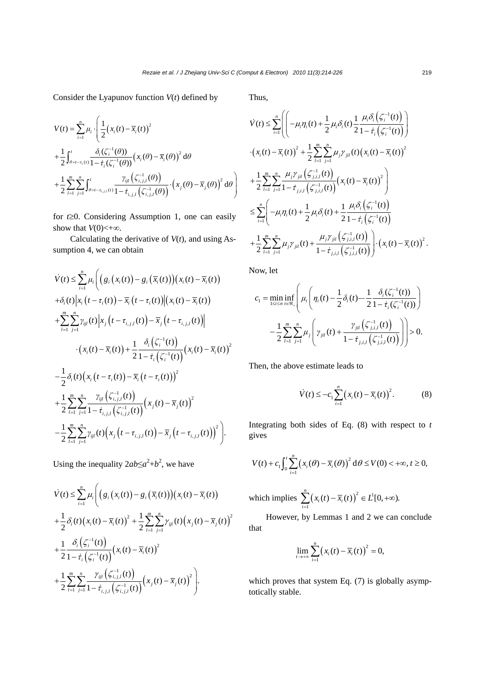Consider the Lyapunov function *V*(*t*) defined by

$$
V(t) = \sum_{i=1}^{n} \mu_i \cdot \left( \frac{1}{2} \left( x_i(t) - \overline{x}_i(t) \right)^2 + \frac{1}{2} \int_{\theta = t - \tau_i(t)}^t \frac{\delta_i(\zeta_i^{-1}(\theta))}{1 - \dot{\tau}_i(\zeta_i^{-1}(\theta))} \left( x_i(\theta) - \overline{x}_i(\theta) \right)^2 d\theta + \frac{1}{2} \sum_{l=1}^{m} \sum_{j=1}^{n} \int_{\theta = t - \tau_{i,j,l}(t)}^t \frac{\gamma_{ijl} \left( \zeta_{i,j,l}^{-1}(\theta) \right)}{1 - \dot{\tau}_{i,j,l} \left( \zeta_{i,j,l}^{-1}(\theta) \right)} \cdot \left( x_j(\theta) - \overline{x}_j(\theta) \right)^2 d\theta \right)
$$

for *t*≥0. Considering Assumption 1, one can easily show that  $V(0)$  < + $\infty$ .

Calculating the derivative of  $V(t)$ , and using Assumption 4, we can obtain

$$
\dot{V}(t) \leq \sum_{i=1}^{n} \mu_{i} \Biggl( \Biggl( g_{i} \Bigl( x_{i}(t) \Bigr) - g_{i} \Bigl( \overline{x}_{i}(t) \Bigr) \Bigl( x_{i}(t) - \overline{x}_{i}(t) \Bigr) \n+ \delta_{i}(t) \Biggl| x_{i} \Bigl( t - \tau_{i}(t) \Bigr) - \overline{x}_{i} \Bigl( t - \tau_{i}(t) \Bigr) \Bigl( x_{i}(t) - \overline{x}_{i}(t) \Bigr) \n+ \sum_{l=1}^{m} \sum_{j=1}^{n} \gamma_{ijl}(t) \Biggl| x_{j} \Bigl( t - \tau_{i,j,l}(t) \Bigr) - \overline{x}_{j} \Bigl( t - \tau_{i,j,l}(t) \Bigr) \Biggr| \n\cdot \Bigl( x_{i}(t) - \overline{x}_{i}(t) \Bigr) + \frac{1}{2} \frac{\delta_{i} \Bigl( \zeta_{i}^{-1}(t) \Bigr)}{1 - \dot{\tau}_{i} \Bigl( \zeta_{i}^{-1}(t) \Bigr)} \Bigl( x_{i}(t) - \overline{x}_{i}(t) \Bigr)^{2} \n- \frac{1}{2} \delta_{i}(t) \Bigl( x_{i} \Bigl( t - \tau_{i}(t) \Bigr) - \overline{x}_{i} \Bigl( t - \tau_{i}(t) \Bigr) \Bigr)^{2} \n+ \frac{1}{2} \sum_{l=1}^{m} \sum_{j=1}^{n} \frac{\gamma_{ijl} \Bigl( \zeta_{i,j,l}^{-1}(t) \Bigr)}{1 - \dot{\tau}_{i,j,l} \Bigl( \zeta_{i,j,l}^{-1}(t) \Bigr)} \Bigl( x_{j}(t) - \overline{x}_{j}(t) \Bigr)^{2} \n- \frac{1}{2} \sum_{l=1}^{m} \sum_{j=1}^{n} \gamma_{ijl}(t) \Bigl( x_{j} \Bigl( t - \tau_{i,j,l}(t) \Bigr) - \overline{x}_{j} \Bigl( t - \tau_{i,j,l}(t) \Bigr) \Bigr)^{2} \Biggr).
$$

Using the inequality  $2ab \le a^2 + b^2$ , we have

$$
\dot{V}(t) \leq \sum_{i=1}^{n} \mu_{i} \Biggl( \Biggl( g_{i} \Bigl( x_{i}(t) \Bigr) - g_{i} \Bigl( \overline{x}_{i}(t) \Bigr) \Bigr) \Bigl( x_{i}(t) - \overline{x}_{i}(t) \Bigr) \n+ \frac{1}{2} \delta_{i}(t) \Bigl( x_{i}(t) - \overline{x}_{i}(t) \Bigr)^{2} + \frac{1}{2} \sum_{l=1}^{m} \sum_{j=1}^{n} \gamma_{ijl}(t) \Bigl( x_{j}(t) - \overline{x}_{j}(t) \Bigr)^{2} \n+ \frac{1}{2} \frac{\delta_{i} \Bigl( \zeta_{i}^{-1}(t) \Bigr)}{1 - \dot{\tau}_{i} \Bigl( \zeta_{i}^{-1}(t) \Bigr)} \Bigl( x_{i}(t) - \overline{x}_{i}(t) \Bigr)^{2} \n+ \frac{1}{2} \sum_{l=1}^{m} \sum_{j=1}^{n} \frac{\gamma_{ijl} \Bigl( \zeta_{i,j,l}^{-1}(t) \Bigr)}{1 - \dot{\tau}_{i,j,l} \Bigl( \zeta_{i,j,l}^{-1}(t) \Bigr)} \Bigl( x_{j}(t) - \overline{x}_{j}(t) \Bigr)^{2} \Biggr).
$$

Thus,

$$
\dot{V}(t) \leq \sum_{i=1}^{n} \left( \left( -\mu_{i} \eta_{i}(t) + \frac{1}{2} \mu_{i} \delta_{i}(t) \frac{1}{2} \frac{\mu_{i} \delta_{i} \left( \zeta_{i}^{-1}(t) \right)}{1 - \dot{\tau}_{i} \left( \zeta_{i}^{-1}(t) \right)} \right) \cdot \left( x_{i}(t) - \overline{x}_{i}(t) \right)^{2} + \frac{1}{2} \sum_{l=1}^{m} \sum_{j=1}^{n} \mu_{j} \gamma_{jil}(t) \left( x_{i}(t) - \overline{x}_{i}(t) \right)^{2} \cdot \left( \frac{1}{2} \sum_{l=1}^{m} \sum_{j=1}^{n} \frac{\mu_{j} \gamma_{jil} \left( \zeta_{j,i,l}^{-1}(t) \right)}{1 - \dot{\tau}_{j,i,l} \left( \zeta_{j,i,l}^{-1}(t) \right)} \left( x_{i}(t) - \overline{x}_{i}(t) \right)^{2} \right) \cdot \sum_{i=1}^{n} \left( -\mu_{i} \eta_{i}(t) + \frac{1}{2} \mu_{i} \delta_{i}(t) + \frac{1}{2} \frac{\mu_{i} \delta_{i} \left( \zeta_{i}^{-1}(t) \right)}{1 - \dot{\tau}_{i} \left( \zeta_{i}^{-1}(t) \right)} \right) \cdot \left( x_{i}(t) - \overline{x}_{i}(t) \right)^{2} \cdot \sum_{l=1}^{m} \sum_{j=1}^{n} \mu_{j} \gamma_{jil}(t) + \frac{\mu_{j} \gamma_{jil} \left( \zeta_{j,i,l}^{-1}(t) \right)}{1 - \dot{\tau}_{j,i,l} \left( \zeta_{j,i,l}^{-1}(t) \right)} \cdot \left( x_{i}(t) - \overline{x}_{i}(t) \right)^{2} .
$$

Now, let

$$
c_1 = \min_{1 \le i \le n} \inf_{t \in \mathfrak{N}_+} \left( \mu_i \left( \eta_i(t) - \frac{1}{2} \delta_i(t) - \frac{1}{2} \frac{\delta_i(\zeta_i^{-1}(t))}{1 - \dot{\tau}_i(\zeta_i^{-1}(t))} \right) - \frac{1}{2} \sum_{l=1}^m \sum_{j=1}^n \mu_j \left( \gamma_{jil}(t) + \frac{\gamma_{jil}(\zeta_{j, i,l}(t))}{1 - \dot{\tau}_{j, i,l}(\zeta_{j, i,l}(t))} \right) \right) > 0.
$$

Then, the above estimate leads to

$$
\dot{V}(t) \le -c_1 \sum_{i=1}^{n} (x_i(t) - \overline{x}_i(t))^2.
$$
 (8)

Integrating both sides of Eq. (8) with respect to *t* gives

$$
V(t) + c_1 \int_0^t \sum_{i=1}^n \left( x_i(\theta) - \overline{x}_i(\theta) \right)^2 d\theta \le V(0) < +\infty, t \ge 0,
$$

which implies  $\sum_{i=1}^{n} (x_i(t) - \overline{x}_i(t))^2 \in L^1$ 1  $\sum_{i=1}^{n} (x_i(t) - \overline{x}_i(t))^2 \in L^1[0, +\infty).$  $\sum_{i=1}$   $\left(\lambda_i(t) - \lambda_i\right)$  $x_i(t) - \overline{x}_i(t)$ <sup>2</sup>  $\in L$  $\sum_{i=1} (x_i(t) - \overline{x}_i(t))^2 \in L^1[0, +\infty]$ 

However, by Lemmas 1 and 2 we can conclude that

$$
\lim_{t\to+\infty}\sum_{i=1}^n\bigl(x_i(t)-\overline{x}_i(t)\bigr)^2=0,
$$

which proves that system Eq. (7) is globally asymptotically stable.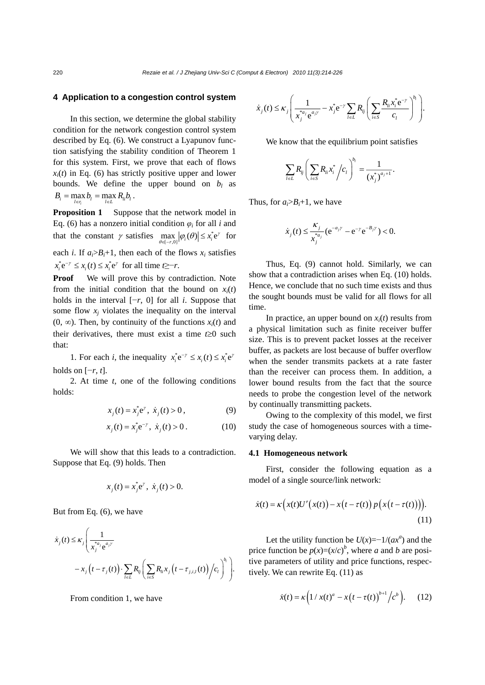#### **4 Application to a congestion control system**

In this section, we determine the global stability condition for the network congestion control system described by Eq. (6). We construct a Lyapunov function satisfying the stability condition of Theorem 1 for this system. First, we prove that each of flows  $x_i(t)$  in Eq. (6) has strictly positive upper and lower bounds. We define the upper bound on  $b_l$  as  $B_i = \max_{l \in r_i} b_l = \max_{l \in L} R_{li} b_l$ .  $i \in r_i$ 

**Proposition 1** Suppose that the network model in Eq. (6) has a nonzero initial condition  $\varphi_i$  for all *i* and that the constant  $\gamma$  satisfies  $\max_{\theta \in [-r,0]} |\varphi_i(\theta)| \leq x_i^* e^{\gamma}$  for each *i*. If  $a_i > B_i + 1$ , then each of the flows  $x_i$  satisfies  $x_i^* e^{-\gamma} \leq x_i(t) \leq x_i^* e^{\gamma}$  for all time  $t \geq -r$ .

**Proof** We will prove this by contradiction. Note from the initial condition that the bound on  $x_i(t)$ holds in the interval [−*r*, 0] for all *i*. Suppose that some flow  $x_i$  violates the inequality on the interval (0, ∞). Then, by continuity of the functions  $x_i(t)$  and their derivatives, there must exist a time *t*≥0 such that:

1. For each *i*, the inequality  $x_i^* e^{-\gamma} \leq x_i(t) \leq x_i^* e^{\gamma}$ holds on [−*r*, *t*].

2. At time *t*, one of the following conditions holds:

$$
x_{i}(t) = x_{i}^{*}e^{\gamma}, \ \dot{x}_{i}(t) > 0, \tag{9}
$$

$$
x_j(t) = x_j^* e^{-\gamma}, \ \dot{x}_j(t) > 0. \tag{10}
$$

We will show that this leads to a contradiction. Suppose that Eq. (9) holds. Then

$$
x_j(t) = x_j^* e^{\gamma}, \dot{x}_j(t) > 0.
$$

But from Eq. (6), we have

$$
\dot{x}_j(t) \le \kappa_j \left( \frac{1}{x_j^{*a_j} e^{a_j t}} - x_j \left( t - \tau_j(t) \right) \cdot \sum_{l \in L} R_{lj} \left( \sum_{i \in S} R_{li} x_j \left( t - \tau_{j,i,l}(t) \right) / c_l \right)^{b_l} \right).
$$

From condition 1, we have

$$
\dot{x}_j(t) \leq \kappa_j \left( \frac{1}{x_j^{*a_j} e^{a_j \gamma}} - x_j^* e^{-\gamma} \sum_{l \in L} R_{lj} \left( \sum_{i \in S} \frac{R_{li} x_i^* e^{-\gamma}}{c_l} \right)^{b_l} \right).
$$

We know that the equilibrium point satisfies

$$
\sum_{l \in L} R_{lj} \left( \sum_{i \in S} R_{li} x_i^* / c_l \right)^{b_l} = \frac{1}{(x_j^*)^{a_j+1}}.
$$

Thus, for  $a_i > B_i + 1$ , we have

$$
\dot{x}_j(t) \le \frac{K_j}{x_j^{*_{a_j}}} (e^{-a_j \gamma} - e^{-\gamma} e^{-B_j \gamma}) < 0.
$$

Thus, Eq. (9) cannot hold. Similarly, we can show that a contradiction arises when Eq. (10) holds. Hence, we conclude that no such time exists and thus the sought bounds must be valid for all flows for all time.

In practice, an upper bound on  $x_i(t)$  results from a physical limitation such as finite receiver buffer size. This is to prevent packet losses at the receiver buffer, as packets are lost because of buffer overflow when the sender transmits packets at a rate faster than the receiver can process them. In addition, a lower bound results from the fact that the source needs to probe the congestion level of the network by continually transmitting packets.

Owing to the complexity of this model, we first study the case of homogeneous sources with a timevarying delay.

#### **4.1 Homogeneous network**

First, consider the following equation as a model of a single source/link network:

$$
\dot{x}(t) = \kappa \Big( x(t)U'\big(x(t)\big) - x\big(t - \tau(t)\big)p\big(x\big(t - \tau(t)\big)\big)\Big).
$$
\n(11)

Let the utility function be  $U(x) = -1/(ax^a)$  and the price function be  $p(x)=(x/c)^b$ , where *a* and *b* are positive parameters of utility and price functions, respectively. We can rewrite Eq. (11) as

$$
\dot{x}(t) = \kappa \left( 1 / \, x(t)^a - x \left( t - \tau(t) \right)^{b+1} / c^b \right). \tag{12}
$$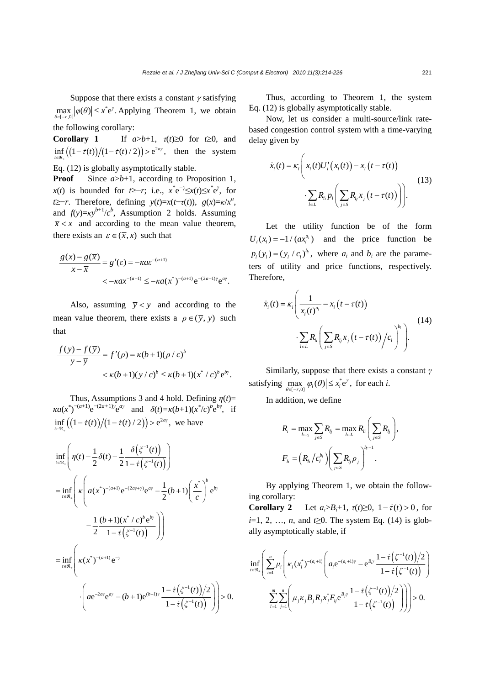Suppose that there exists a constant  $\gamma$  satisfying \*  $\max_{\theta \in [-r,0]} |\varphi(\theta)| \leq x^* e^{\gamma}$ . Applying Theorem 1, we obtain the following corollary:

**Corollary 1** If  $a > b+1$ ,  $\tau(t) \ge 0$  for  $t \ge 0$ , and  $\inf_{t \in \mathbb{R}_+} \left( \frac{1 - \dot{\tau}(t)}{1 - \dot{\tau}(t) / 2} \right) > e^{2a\gamma}, \text{ then the system}$ 

Eq. (12) is globally asymptotically stable.

**Proof** Since  $a > b+1$ , according to Proposition 1, *x*(*t*) is bounded for *t*≥−*r*; i.e.,  $x^*e^{-y} \leq x(t) \leq x^*e^y$ , for *t*≥−*r*. Therefore, defining  $y(t)=x(t-\tau(t))$ ,  $g(x)=k/x^a$ , and  $f(y)=\kappa y^{b+1}/c^b$ , Assumption 2 holds. Assuming  $\bar{x}$  < *x* and according to the mean value theorem, there exists an  $\varepsilon \in (\overline{x},x)$  such that

$$
\frac{g(x) - g(\bar{x})}{x - \bar{x}} = g'(\varepsilon) = -\kappa a \varepsilon^{-(a+1)}
$$
  
< 
$$
< -\kappa a x^{-(a+1)} \le -\kappa a (x^*)^{-(a+1)} e^{-(2a+1)\gamma} e^{a\gamma}.
$$

Also, assuming  $\overline{y} < y$  and according to the mean value theorem, there exists a  $\rho \in (\bar{y}, y)$  such that

$$
\frac{f(y) - f(\overline{y})}{y - \overline{y}} = f'(\rho) = \kappa (b + 1)(\rho / c)^b
$$
  

$$
< \kappa (b + 1)(y / c)^b \le \kappa (b + 1)(x^* / c)^b e^{b^b}.
$$

Thus, Assumptions 3 and 4 hold. Defining *η*(*t*)=  $\kappa a(x^*)^{-(a+1)}e^{-(2a+1)\gamma}e^{ay}$  and  $\delta(t)=\kappa(b+1)(x^*/c)^b e^{by}$ , if  $\inf_{t \in \mathbb{R}_+} \left( \frac{1 - \dot{\tau}(t)}{1 - \dot{\tau}(t) / 2} \right) > e^{2a\gamma}, \text{ we have}$ 

$$
\inf_{t \in \mathfrak{R}_{+}} \left( \eta(t) - \frac{1}{2} \delta(t) - \frac{1}{2} \frac{\delta(\xi^{-1}(t))}{1 - i(\xi^{-1}(t))} \right)
$$
\n
$$
= \inf_{t \in \mathfrak{R}_{+}} \left( \kappa \left( a(x^*)^{-(a+1)} e^{-(2a\gamma + \gamma)} e^{a\gamma} - \frac{1}{2} (b+1) \left( \frac{x^*}{c} \right)^b e^{b\gamma} - \frac{1}{2} \frac{(b+1)(x^*/c)^b e^{b\gamma}}{1 - i(\xi^{-1}(t))} \right) \right)
$$
\n
$$
= \inf_{t \in \mathfrak{R}_{+}} \left( \kappa(x^*)^{-(a+1)} e^{-\gamma} - \frac{\left( \frac{1}{2} \delta(t) - \frac{1}{2} \right)^b e^{(-t+1)\gamma}}{1 - i(\xi^{-1}(t))} \right) \left( \frac{1 - i(\xi^{-1}(t))/2}{1 - i(\xi^{-1}(t))} \right) \right) > 0.
$$

Thus, according to Theorem 1, the system Eq. (12) is globally asymptotically stable.

Now, let us consider a multi-source/link ratebased congestion control system with a time-varying delay given by

$$
\dot{x}_i(t) = \kappa_i \left( x_i(t) U_i'(x_i(t)) - x_i(t - \tau(t)) \right)
$$
  
 
$$
\cdot \sum_{l \in L} R_{li} p_l \left( \sum_{j \in S} R_{lj} x_j(t - \tau(t)) \right) \right).
$$
 (13)

Let the utility function be of the form  $U_i(x_i) = -1/(ax_i^{a_i})$  and the price function be  $p_l(y_l) = (y_l / c_l)^{b_l}$ , where  $a_i$  and  $b_i$  are the parameters of utility and price functions, respectively. Therefore,

$$
\dot{x}_i(t) = \kappa_i \left( \frac{1}{x_i(t)^{a_i}} - x_i \left( t - \tau(t) \right) \right)
$$
\n
$$
\sum_{l \in L} R_{li} \left( \sum_{j \in S} R_{lj} x_j \left( t - \tau(t) \right) / c_l \right)^{b_l} \right). \tag{14}
$$

Similarly, suppose that there exists a constant *γ* satisfying  $\max_{\theta \in [-r,0]} |\varphi_i(\theta)| \leq x_i^* e^{\gamma}$ , for each *i*.

In addition, we define

$$
R_i = \max_{l \in r_i} \sum_{j \in S} R_{lj} = \max_{l \in L} R_{li} \left( \sum_{j \in S} R_{lj} \right),
$$
  

$$
F_{li} = \left( R_{li} / c_l^{b_l} \right) \left( \sum_{j \in S} R_{lj} \rho_j \right)^{b_l - 1}.
$$

By applying Theorem 1, we obtain the following corollary:

**Corollary 2** Let  $a_i > B_i + 1$ ,  $\tau(t) \ge 0$ ,  $1 - \dot{\tau}(t) > 0$ , for *i*=1, 2, …, *n*, and *t*≥0. The system Eq. (14) is globally asymptotically stable, if

$$
\inf_{t \in \mathfrak{N}_+} \left( \sum_{i=1}^n \mu_i \left( \kappa_i (x_i^*)^{-(a_i+1)} \left( a_i e^{-(a_i+1)\gamma} - e^{B_i \gamma} \frac{1 - \dot{\tau}(\zeta^{-1}(t))/2}{1 - \dot{\tau}(\zeta^{-1}(t))} \right) \right) - \sum_{l=1}^m \sum_{j=1}^n \left( \mu_j \kappa_j B_j R_j x_j^* F_{lj} e^{B_j \gamma} \frac{1 - \dot{\tau}(\zeta^{-1}(t))/2}{1 - \dot{\tau}(\zeta^{-1}(t))} \right) \right) > 0.
$$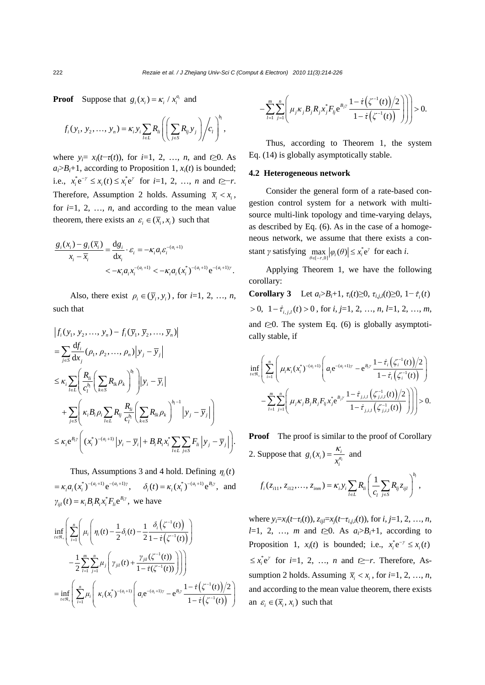**Proof** Suppose that  $g_i(x_i) = \kappa_i / x_i^{a_i}$  and

$$
f_i(y_1, y_2, ..., y_n) = \kappa_i y_i \sum_{l \in L} R_{li} \left( \left( \sum_{j \in S} R_{lj} y_j \right) / c_l \right)^{b_l},
$$

where *y<sub>i</sub>*=  $x_i(t-\tau(t))$ , for *i*=1, 2, ..., *n*, and *t*≥0. As  $a_i > B_i + 1$ , according to Proposition 1,  $x_i(t)$  is bounded; i.e.,  $x_i^* e^{-\gamma} \le x_i(t) \le x_i^* e^{\gamma}$  for *i*=1, 2, …, *n* and *t*≥−*r*. Therefore, Assumption 2 holds. Assuming  $\bar{x} < x_i$ , for  $i=1, 2, ..., n$ , and according to the mean value theorem, there exists an  $\varepsilon_i \in (\overline{x}_i, x_i)$  such that

$$
\frac{g_i(x_i) - g_i(\overline{x}_i)}{x_i - \overline{x}_i} = \frac{dg_i}{dx_i} \cdot \varepsilon_i = -\kappa_i a_i \varepsilon_i^{-(a_i+1)}
$$
  
< 
$$
< -\kappa_i a_i x_i^{-(a_i+1)} < -\kappa_i a_i (x_i^*)^{-(a_i+1)} e^{-(a_i+1)\gamma}.
$$

Also, there exist  $\rho_i \in (\overline{y}_i, y_i)$ , for *i*=1, 2, …, *n*, such that

$$
\begin{split}\n&\left|f_i(y_1, y_2, \ldots, y_n) - f_i(\overline{y}_1, \overline{y}_2, \ldots, \overline{y}_n)\right| \\
&= \sum_{j \in S} \frac{df_i}{dx_j} (\rho_1, \rho_2, \ldots, \rho_n) \Big| y_j - \overline{y}_j \Big| \\
&\leq \kappa_i \sum_{l \in L} \left( \frac{R_{li}}{c_l^{b_l}} \left( \sum_{k \in S} R_{lk} \rho_k \right)^{b_l} \right) \Big| y_i - \overline{y}_i \Big| \\
&+ \sum_{j \in S} \left( \kappa_i B_i \rho_i \sum_{l \in L} R_{lj} \frac{R_{li}}{c_l^{b_l}} \left( \sum_{k \in S} R_{lk} \rho_k \right)^{b_l - 1} \Big| y_j - \overline{y}_j \Big| \right) \\
&\leq \kappa_i e^{B_i \gamma} \left( (x_i^*)^{-(a_i + 1)} \Big| y_i - \overline{y}_i \Big| + B_i R_i x_i^* \sum_{l \in L} \sum_{j \in S} F_{li} \Big| y_j - \overline{y}_j \Big| \right).\n\end{split}
$$

Thus, Assumptions 3 and 4 hold. Defining  $\eta_i(t)$  $= \kappa_i a_i (x_i^*)^{-(a_i+1)} e^{-(a_i+1)\gamma}, \quad \delta_i(t) = \kappa_i (x_i^*)^{-(a_i+1)} e^{B_i\gamma}, \text{ and}$  $\gamma_{ijl}(t) = \kappa_i B_i R_i x_i^* F_{li} e^{B_i \gamma}$ , we have

$$
\inf_{t \in \mathfrak{R}_{+}} \left( \sum_{i=1}^{n} \left( \mu_{i} \left( \eta_{i}(t) - \frac{1}{2} \delta_{i}(t) - \frac{1}{2} \frac{\delta_{i} \left( \zeta^{-1}(t) \right)}{1 - \dot{\tau} \left( \zeta^{-1}(t) \right)} \right) - \frac{1}{2} \sum_{l=1}^{m} \sum_{j=1}^{n} \mu_{j} \left( \gamma_{jil}(t) + \frac{\gamma_{jil} \left( \zeta^{-1}(t) \right)}{1 - \dot{\tau} \left( \zeta^{-1}(t) \right)} \right) \right) \right)
$$
\n
$$
= \inf_{t \in \mathfrak{R}_{+}} \left( \sum_{i=1}^{n} \mu_{i} \left( \kappa_{i} (x_{i}^{*})^{-(a_{i}+1)} \left( a_{i} e^{-(a_{i}+1)\gamma} - e^{B_{i}\gamma} \frac{1 - \dot{\tau} \left( \zeta^{-1}(t) \right) \right/2}{1 - \dot{\tau} \left( \zeta^{-1}(t) \right)} \right)
$$

$$
-\sum_{l=1}^m \sum_{j=1}^n \left( \mu_j \kappa_j B_j R_j x_j^* F_{lj} e^{B_j \gamma} \frac{1-\dot{\tau}(\zeta^{-1}(t))/2}{1-\dot{\tau}(\zeta^{-1}(t))} \right) \geq 0.
$$

Thus, according to Theorem 1, the system Eq. (14) is globally asymptotically stable.

## **4.2 Heterogeneous network**

Consider the general form of a rate-based congestion control system for a network with multisource multi-link topology and time-varying delays, as described by Eq. (6). As in the case of a homogeneous network, we assume that there exists a constant *γ* satisfying  $\max_{\theta \in [-r,0]} |\varphi_i(\theta)| \leq x_i^* e^{\gamma}$  for each *i*.

Applying Theorem 1, we have the following corollary:

**Corollary 3** Let  $a_i > B_i + 1$ ,  $\tau_i(t) \geq 0$ ,  $\tau_{i,j,l}(t) \geq 0$ ,  $1 - \dot{\tau}_i(t)$  $> 0$ ,  $1 - \dot{\tau}_{i,i,l}$  (*t*)  $> 0$ , for *i*, *j*=1, 2, …, *n*, *l*=1, 2, …, *m*, and *t*≥0. The system Eq. (6) is globally asymptotically stable, if

$$
\inf_{t \in \mathbb{R}_+} \left( \sum_{i=1}^n \left( \mu_i \kappa_i (x_i^*)^{-(a_i+1)} \left( a_i e^{-(a_i+1)\gamma} - e^{B_i \gamma} \frac{1 - \dot{\tau}_i \left( \zeta_i^{-1}(t) \right) \right/2}{1 - \dot{\tau}_i \left( \zeta_i^{-1}(t) \right)} \right) - \sum_{i=1}^m \sum_{j=1}^n \left( \mu_j \kappa_j B_j R_j F_{ij} x_j^* e^{B_j \gamma} \frac{1 - \dot{\tau}_{j,i,l} \left( \zeta_{j,i,l}^{-1}(t) \right) \right/2}{1 - \dot{\tau}_{j,i,l} \left( \zeta_{j,i,l}^{-1}(t) \right)} \right) \right) > 0.
$$

**Proof** The proof is similar to the proof of Corollary 2. Suppose that  $g_i(x_i) = \frac{\kappa_i}{x_i^{a_i}}$  $g_i(x_i) = \frac{K_i}{x_i^{a_i}}$  and

$$
f_i(z_{i11}, z_{i12}, \ldots, z_{imn}) = \kappa_i y_i \sum_{l \in L} R_l \left( \frac{1}{c_l} \sum_{j \in S} R_{lj} z_{ijl} \right)^{b_l},
$$

where  $y_i = x_i(t - \tau_i(t))$ ,  $z_{ij} = x_j(t - \tau_{i,j,l}(t))$ , for  $i, j = 1, 2, ..., n$ , *l*=1, 2, …, *m* and *t*≥0. As  $a_i > B_i + 1$ , according to Proposition 1,  $x_i(t)$  is bounded; i.e.,  $x_i^* e^{-\gamma} \le x_i(t)$  $\leq x_i^* e^{\gamma}$  for *i*=1, 2, …, *n* and *t*≥−*r*. Therefore, Assumption 2 holds. Assuming  $\bar{x} < x_i$ , for *i*=1, 2, …, *n*, and according to the mean value theorem, there exists an  $\varepsilon_i \in (\overline{x}_i, x_i)$  such that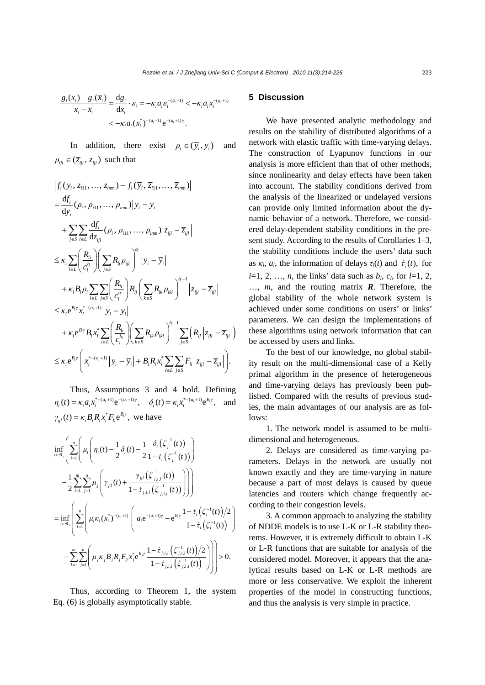$$
\frac{g_i(x_i) - g_i(\overline{x}_i)}{x_i - \overline{x}_i} = \frac{dg_i}{dx_i} \cdot \varepsilon_i = -\kappa_i a_i \varepsilon_i^{-(a_i+1)} < -\kappa_i a_i x_i^{-(a_i+1)}
$$
  
< 
$$
< -\kappa_i a_i (x_i^*)^{-(a_i+1)} e^{-(a_i+1)t}.
$$

In addition, there exist  $\rho_i \in (\bar{y}_i, y_i)$  and  $\rho_{\textit{ii}} \in (\overline{z}_{\textit{ii}}^{\phantom{\dagger}}, z_{\textit{ii}}^{\phantom{\dagger}})$  such that

$$
\begin{split}\n&\left|f_i(y_i, z_{i11}, \ldots, z_{inm}) - f_i(\overline{y}_i, \overline{z}_{i11}, \ldots, \overline{z}_{inm})\right| \\
&= \frac{df_i}{dy_i}(\rho_i, \rho_{i11}, \ldots, \rho_{inm})\left|y_i - \overline{y}_i\right| \\
&+ \sum_{j \in S} \sum_{l \in L} \frac{df_i}{dz_{ijl}}(\rho_i, \rho_{i11}, \ldots, \rho_{inm})\left|z_{ijl} - \overline{z}_{ijl}\right| \\
&\leq \kappa_i \sum_{l \in L} \left(\frac{R_{li}}{c_l^{b_l}}\right) \left(\sum_{j \in S} R_{lj} \rho_{ijl}\right)^{b_l} \left|y_i - \overline{y}_i\right| \\
&+ \kappa_i B_i \rho_i \sum_{l \in L} \sum_{j \in S} \left(\frac{R_{li}}{c_l^{b_l}}\right) R_{lj} \left(\sum_{k \in S} R_{lk} \rho_{ikl}\right)^{b_l - 1} \left|z_{ijl} - \overline{z}_{ijl}\right| \\
&\leq \kappa_i e^{B_i y} x_i^{*-(a_i+1)} \left|y_i - \overline{y}_i\right| \\
&+ \kappa_i e^{B_i y} B_i x_i^* \sum_{l \in L} \left(\frac{R_{li}}{c_l^{b_l}}\right) \left(\sum_{k \in S} R_{lk} \rho_{ikl}\right)^{b_l - 1} \sum_{j \in S} \left(R_{lj} \left|z_{ijl} - \overline{z}_{ijl}\right|\right) \\
&\leq \kappa_i e^{B_i y} \left(x_i^{*-(a_i+1)} \left|y_i - \overline{y}_i\right| + B_i R_i x_i^* \sum_{l \in L} \sum_{j \in S} F_{li} \left|z_{ijl} - \overline{z}_{ijl}\right|\right).\n\end{split}
$$

Thus, Assumptions 3 and 4 hold. Defining  $\eta_i(t) = \kappa_i a_i x_i^{* - (a_i + 1)} e^{-(a_i + 1)\gamma}, \quad \delta_i(t) = \kappa_i x_i^{* - (a_i + 1)} e^{B_i \gamma}, \quad \text{and}$  $\gamma_{ijl}(t) = \kappa_i B_i R_i x_i^* F_{li} e^{B_i \gamma}$ , we have

$$
\begin{split}\n&\inf_{t\in\mathfrak{R}_{+}}\left[\sum_{i=1}^{n}\left(\mu_{i}\left(\eta_{i}(t)-\frac{1}{2}\delta_{i}(t)-\frac{1}{2}\frac{\delta_{i}\left(\zeta_{i}^{-1}(t)\right)}{1-\dot{\tau}_{i}\left(\zeta_{i}^{-1}(t)\right)}\right)\right.\\
&\left.-\frac{1}{2}\sum_{l=1}^{m}\sum_{j=1}^{n}\mu_{j}\left(\gamma_{jil}(t)+\frac{\gamma_{jil}\left(\zeta_{j, i,l}^{-1}(t)\right)}{1-\dot{\tau}_{j, i,l}\left(\zeta_{j, i,l}^{-1}(t)\right)}\right)\right]\n\end{split}
$$
\n
$$
=\inf_{t\in\mathfrak{R}_{+}}\left[\sum_{i=1}^{n}\left(\mu_{i}\kappa_{i}(x_{i}^{*})^{-(a_{i}+1)}\left(a_{i}e^{-(a_{i}+1)\gamma}-e^{B_{i}\gamma}\frac{1-\dot{\tau}_{i}\left(\zeta_{i}^{-1}(t)\right)/2}{1-\dot{\tau}_{i}\left(\zeta_{i}^{-1}(t)\right)}\right)\right.\\
\left.-\sum_{l=1}^{m}\sum_{j=1}^{n}\left(\mu_{j}\kappa_{j}B_{j}R_{j}F_{ij}x_{j}^{*}e^{B_{j}\gamma}\frac{1-\dot{\tau}_{j, i,l}\left(\zeta_{j, i,l}^{-1}(t)\right)/2}{1-\dot{\tau}_{j, i,l}\left(\zeta_{j, i,l}^{-1}(t)\right)}\right)\right|&>0.\n\end{split}
$$

Thus, according to Theorem 1, the system Eq. (6) is globally asymptotically stable.

# **5 Discussion**

We have presented analytic methodology and results on the stability of distributed algorithms of a network with elastic traffic with time-varying delays. The construction of Lyapunov functions in our analysis is more efficient than that of other methods, since nonlinearity and delay effects have been taken into account. The stability conditions derived from the analysis of the linearized or undelayed versions can provide only limited information about the dynamic behavior of a network. Therefore, we considered delay-dependent stability conditions in the present study. According to the results of Corollaries 1–3, the stability conditions include the users' data such as  $\kappa_i$ ,  $a_i$ , the information of delays  $\tau_i(t)$  and  $\dot{\tau}_i(t)$ , for *i*=1, 2, ..., *n*, the links' data such as  $b_l$ ,  $c_l$ , for *l*=1, 2, …, *m*, and the routing matrix *R*. Therefore, the global stability of the whole network system is achieved under some conditions on users' or links' parameters. We can design the implementations of these algorithms using network information that can be accessed by users and links.

To the best of our knowledge, no global stability result on the multi-dimensional case of a Kelly primal algorithm in the presence of heterogeneous and time-varying delays has previously been published. Compared with the results of previous studies, the main advantages of our analysis are as follows:

1. The network model is assumed to be multidimensional and heterogeneous.

2. Delays are considered as time-varying parameters. Delays in the network are usually not known exactly and they are time-varying in nature because a part of most delays is caused by queue latencies and routers which change frequently according to their congestion levels.

3. A common approach to analyzing the stability of NDDE models is to use L-K or L-R stability theorems. However, it is extremely difficult to obtain L-K or L-R functions that are suitable for analysis of the considered model. Moreover, it appears that the analytical results based on L-K or L-R methods are more or less conservative. We exploit the inherent properties of the model in constructing functions, and thus the analysis is very simple in practice.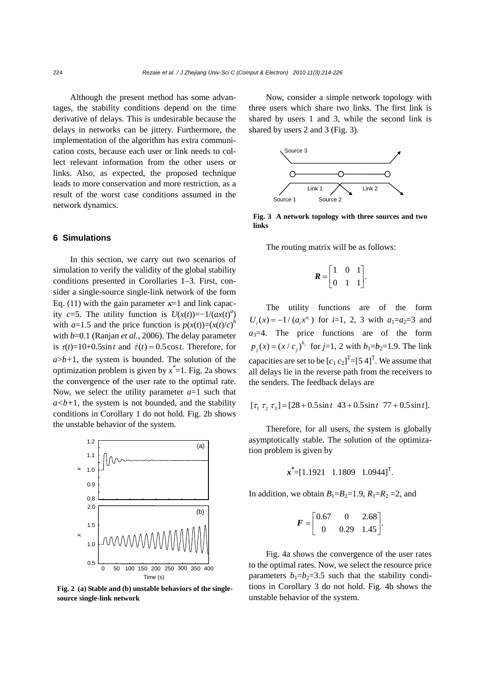Although the present method has some advantages, the stability conditions depend on the time derivative of delays. This is undesirable because the delays in networks can be jittery. Furthermore, the implementation of the algorithm has extra communication costs, because each user or link needs to collect relevant information from the other users or links. Also, as expected, the proposed technique leads to more conservation and more restriction, as a result of the worst case conditions assumed in the network dynamics.

# **6 Simulations**

In this section, we carry out two scenarios of simulation to verify the validity of the global stability conditions presented in Corollaries 1–3. First, consider a single-source single-link network of the form Eq. (11) with the gain parameter  $\kappa=1$  and link capacity *c*=5. The utility function is  $U(x(t))=-1/(ax(t)^a)$ with *a*=1.5 and the price function is  $p(x(t))=(x(t)/c)^b$ with *b*=0.1 (Ranjan *et al.*, 2006). The delay parameter is  $\tau(t)=10+0.5\sin t$  and  $\dot{\tau}(t)=0.5\cos t$ . Therefore, for  $a$  $>b+1$ , the system is bounded. The solution of the optimization problem is given by *x \** =1. Fig. 2a shows the convergence of the user rate to the optimal rate. Now, we select the utility parameter *a*=1 such that  $a < b+1$ , the system is not bounded, and the stability conditions in Corollary 1 do not hold. Fig. 2b shows the unstable behavior of the system.



**Fig. 2 (a) Stable and (b) unstable behaviors of the singlesource single-link network** 

Now, consider a simple network topology with three users which share two links. The first link is shared by users 1 and 3, while the second link is shared by users 2 and 3 (Fig. 3).



**Fig. 3 A network topology with three sources and two links** 

The routing matrix will be as follows:

$$
\boldsymbol{R} = \begin{bmatrix} 1 & 0 & 1 \\ 0 & 1 & 1 \end{bmatrix}.
$$

The utility functions are of the form  $U_1(x) = -1/(a_1 x^{a_1})$  for *i*=1, 2, 3 with  $a_1=a_2=3$  and  $a_3=4$ . The price functions are of the form  $p_j(x) = (x / c_j)^{b_j}$  for *j*=1, 2 with  $b_1 = b_2 = 1.9$ . The link capacities are set to be  $[c_1 c_2]^T = [5 4]^T$ . We assume that all delays lie in the reverse path from the receivers to the senders. The feedback delays are

$$
[\tau_1 \tau_2 \tau_3] = [28 + 0.5 \sin t \ 43 + 0.5 \sin t \ 77 + 0.5 \sin t].
$$

Therefore, for all users, the system is globally asymptotically stable. The solution of the optimization problem is given by

$$
x^*=[1.1921 \quad 1.1809 \quad 1.0944]^\mathrm{T}.
$$

In addition, we obtain  $B_1=B_2=1.9$ ,  $R_1=R_2=2$ , and

$$
F = \begin{bmatrix} 0.67 & 0 & 2.68 \\ 0 & 0.29 & 1.45 \end{bmatrix}.
$$

Fig. 4a shows the convergence of the user rates to the optimal rates. Now, we select the resource price parameters  $b_1=b_2=3.5$  such that the stability conditions in Corollary 3 do not hold. Fig. 4b shows the unstable behavior of the system.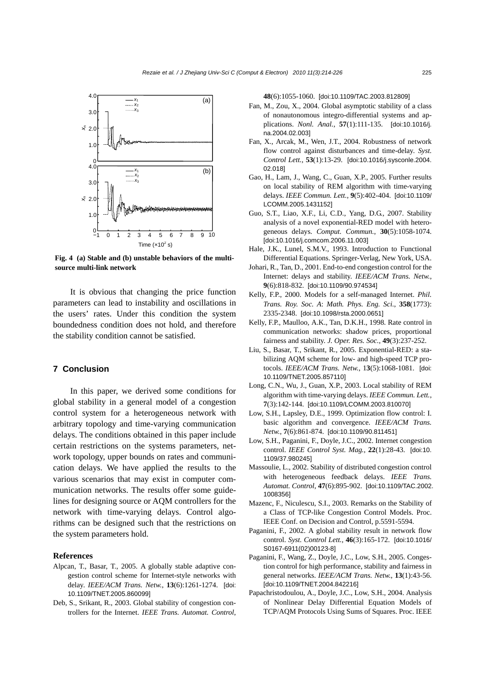

**Fig. 4 (a) Stable and (b) unstable behaviors of the multisource multi-link network** 

It is obvious that changing the price function parameters can lead to instability and oscillations in the users' rates. Under this condition the system boundedness condition does not hold, and therefore the stability condition cannot be satisfied.

## **7 Conclusion**

In this paper, we derived some conditions for global stability in a general model of a congestion control system for a heterogeneous network with arbitrary topology and time-varying communication delays. The conditions obtained in this paper include certain restrictions on the systems parameters, network topology, upper bounds on rates and communication delays. We have applied the results to the various scenarios that may exist in computer communication networks. The results offer some guidelines for designing source or AQM controllers for the network with time-varying delays. Control algorithms can be designed such that the restrictions on the system parameters hold.

# **References**

- Alpcan, T., Basar, T., 2005. A globally stable adaptive congestion control scheme for Internet-style networks with delay. *IEEE/ACM Trans. Netw.*, **13**(6):1261-1274. [doi: 10.1109/TNET.2005.860099]
- Deb, S., Srikant, R., 2003. Global stability of congestion controllers for the Internet. *IEEE Trans. Automat. Control*,

**48**(6):1055-1060. [doi:10.1109/TAC.2003.812809]

- Fan, M., Zou, X., 2004. Global asymptotic stability of a class of nonautonomous integro-differential systems and applications. *Nonl. Anal.*, **57**(1):111-135. [doi:10.1016/j. na.2004.02.003]
- Fan, X., Arcak, M., Wen, J.T., 2004. Robustness of network flow control against disturbances and time-delay. *Syst. Control Lett.*, **53**(1):13-29. [doi:10.1016/j.sysconle.2004. 02.018]
- Gao, H., Lam, J., Wang, C., Guan, X.P., 2005. Further results on local stability of REM algorithm with time-varying delays. *IEEE Commun. Lett.*, **9**(5):402-404. [doi:10.1109/ LCOMM.2005.1431152]
- Guo, S.T., Liao, X.F., Li, C.D., Yang, D.G., 2007. Stability analysis of a novel exponential-RED model with heterogeneous delays. *Comput. Commun.*, **30**(5):1058-1074. [doi:10.1016/j.comcom.2006.11.003]
- Hale, J.K., Lunel, S.M.V., 1993. Introduction to Functional Differential Equations. Springer-Verlag, New York, USA.
- Johari, R., Tan, D., 2001. End-to-end congestion control for the Internet: delays and stability. *IEEE/ACM Trans. Netw.*, **9**(6):818-832. [doi:10.1109/90.974534]
- Kelly, F.P., 2000. Models for a self-managed Internet. *Phil. Trans. Roy. Soc. A*: *Math. Phys. Eng. Sci.*, **358**(1773): 2335-2348. [doi:10.1098/rsta.2000.0651]
- Kelly, F.P., Maulloo, A.K., Tan, D.K.H., 1998. Rate control in communication networks: shadow prices, proportional fairness and stability. *J. Oper. Res. Soc.*, **49**(3):237-252.
- Liu, S., Basar, T., Srikant, R., 2005. Exponential-RED: a stabilizing AQM scheme for low- and high-speed TCP protocols. *IEEE/ACM Trans. Netw.*, 1**3**(5):1068-1081. [doi: 10.1109/TNET.2005.857110]
- Long, C.N., Wu, J., Guan, X.P., 2003. Local stability of REM algorithm with time-varying delays. *IEEE Commun. Lett.*, **7**(3):142-144. [doi:10.1109/LCOMM.2003.810070]
- Low, S.H., Lapsley, D.E., 1999. Optimization flow control: I. basic algorithm and convergence. *IEEE/ACM Trans. Netw.*, **7**(6):861-874. [doi:10.1109/90.811451]
- Low, S.H., Paganini, F., Doyle, J.C., 2002. Internet congestion control. *IEEE Control Syst. Mag.*, **22**(1):28-43. [doi:10. 1109/37.980245]
- Massoulie, L., 2002. Stability of distributed congestion control with heterogeneous feedback delays. *IEEE Trans. Automat. Control*, **47**(6):895-902. [doi:10.1109/TAC.2002. 1008356]
- Mazenc, F., Niculescu, S.I., 2003. Remarks on the Stability of a Class of TCP-like Congestion Control Models. Proc. IEEE Conf. on Decision and Control, p.5591-5594.
- Paganini, F., 2002. A global stability result in network flow control. *Syst. Control Lett.*, **46**(3):165-172. [doi:10.1016/ S0167-6911(02)00123-8]
- Paganini, F., Wang, Z., Doyle, J.C., Low, S.H., 2005. Congestion control for high performance, stability and fairness in general networks. *IEEE/ACM Trans. Netw.*, **13**(1):43-56. [doi:10.1109/TNET.2004.842216]
- Papachristodoulou, A., Doyle, J.C., Low, S.H., 2004. Analysis of Nonlinear Delay Differential Equation Models of TCP/AQM Protocols Using Sums of Squares. Proc. IEEE